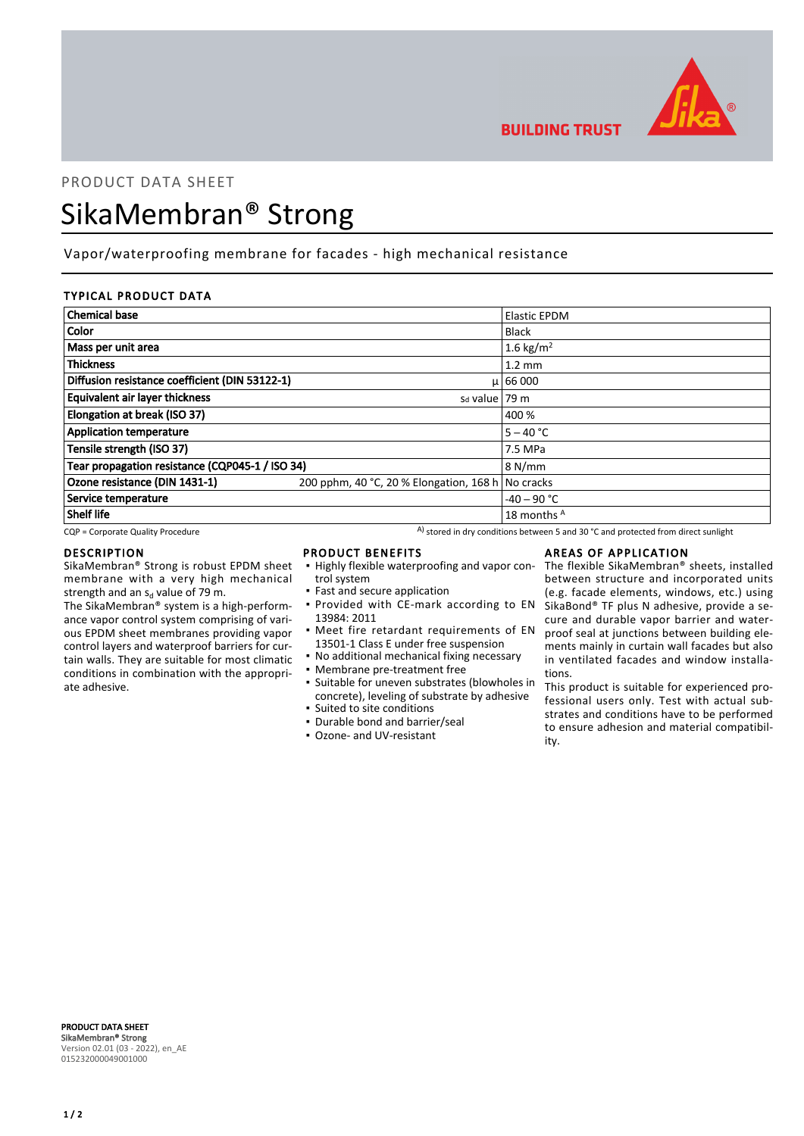

**BUILDING TRUST** 

## PRODUCT DATA SHEET

# SikaMembran® Strong

## Vapor/waterproofing membrane for facades - high mechanical resistance

## TYPICAL PRODUCT DATA

| <b>Chemical base</b>                            |                                         | <b>Elastic EPDM</b>   |
|-------------------------------------------------|-----------------------------------------|-----------------------|
| Color                                           |                                         | <b>Black</b>          |
| Mass per unit area                              |                                         | 1.6 kg/m <sup>2</sup> |
| <b>Thickness</b>                                |                                         | $1.2 \text{ mm}$      |
| Diffusion resistance coefficient (DIN 53122-1)  |                                         | $\mu$ 66 000          |
| <b>Equivalent air layer thickness</b>           | $sd$ value   79 m                       |                       |
| Elongation at break (ISO 37)                    |                                         | 400 %                 |
| <b>Application temperature</b>                  |                                         | $5 - 40 °C$           |
| Tensile strength (ISO 37)                       |                                         | 7.5 MPa               |
| Tear propagation resistance (CQP045-1 / ISO 34) |                                         | 8 N/mm                |
| Ozone resistance (DIN 1431-1)                   | 200 pphm, 40 °C, 20 % Elongation, 168 h | No cracks             |
| Service temperature                             |                                         | $-40 - 90$ °C         |
| <b>Shelf life</b>                               |                                         | 18 months A           |

**• Provided with CE-mark according to EN** 

**•** Meet fire retardant requirements of EN 13501-1 Class E under free suspension • No additional mechanical fixing necessary

■ Suitable for uneven substrates (blowholes in concrete), leveling of substrate by adhesive

 $CQP$  = Corporate Quality Procedure  $A$ ) stored in dry conditions between 5 and 30 °C and protected from direct sunlight

## DESCRIPTION

SikaMembran® Strong is robust EPDM sheet membrane with a very high mechanical strength and an s<sub>d</sub> value of 79 m.

The SikaMembran® system is a high-performance vapor control system comprising of various EPDM sheet membranes providing vapor control layers and waterproof barriers for curtain walls. They are suitable for most climatic conditions in combination with the appropriate adhesive.

#### PRODUCT BENEFITS

trol system

13984: 2011

• Fast and secure application

▪ Membrane pre-treatment free

▪ Suited to site conditions ▪ Durable bond and barrier/seal ▪ Ozone- and UV-resistant

## AREAS OF APPLICATION

• Highly flexible waterproofing and vapor con- The flexible SikaMembran® sheets, installed between structure and incorporated units (e.g. facade elements, windows, etc.) using SikaBond® TF plus N adhesive, provide a secure and durable vapor barrier and waterproof seal at junctions between building elements mainly in curtain wall facades but also in ventilated facades and window installations.

> This product is suitable for experienced professional users only. Test with actual substrates and conditions have to be performed to ensure adhesion and material compatibility.

PRODUCT DATA SHEET SikaMembran® Strong Version 02.01 (03 - 2022), en\_AE 015232000049001000